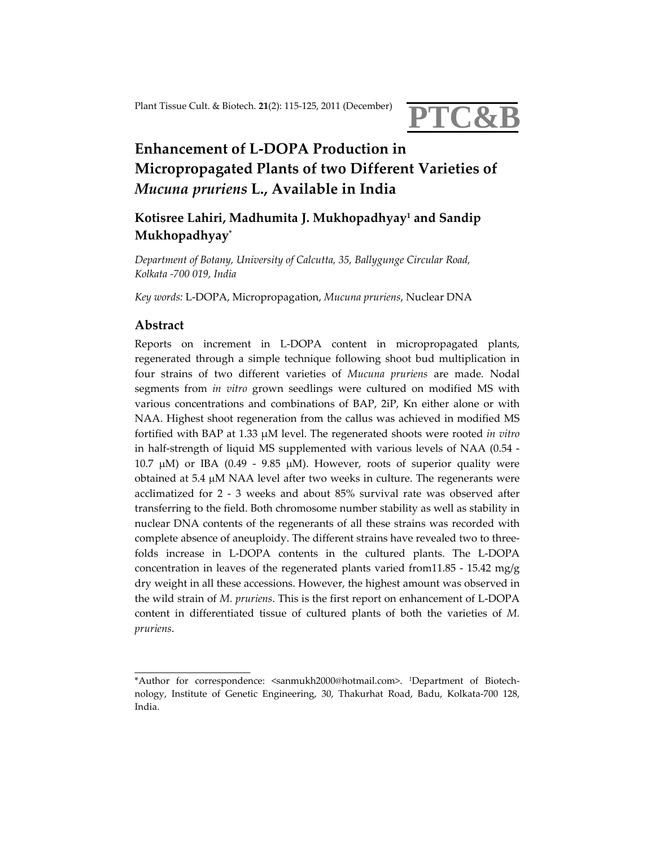

# **Enhancement of L‐DOPA Production in Micropropagated Plants of two Different Varieties of** *Mucuna pruriens* **L., Available in India**

**Kotisree Lahiri, Madhumita J. Mukhopadhyay1 and Sandip Mukhopadhyay\***

*Department of Botany, University of Calcutta, 35, Ballygunge Circular Road, Kolkata ‐700 019, India*

*Key words:* L‐DOPA, Micropropagation, *Mucuna pruriens*, Nuclear DNA

## **Abstract**

Reports on increment in L‐DOPA content in micropropagated plants, regenerated through a simple technique following shoot bud multiplication in four strains of two different varieties of *Mucuna pruriens* are made*.* Nodal segments from *in vitro* grown seedlings were cultured on modified MS with various concentrations and combinations of BAP, 2iP, Kn either alone or with NAA. Highest shoot regeneration from the callus was achieved in modified MS fortified with BAP at 1.33 μM level. The regenerated shoots were rooted *in vitro* in half-strength of liquid MS supplemented with various levels of NAA (0.54 -10.7  $\mu$ M) or IBA (0.49 - 9.85  $\mu$ M). However, roots of superior quality were obtained at  $5.4 \mu M NAA$  level after two weeks in culture. The regenerants were acclimatized for 2 ‐ 3 weeks and about 85% survival rate was observed after transferring to the field. Both chromosome number stability as well as stability in nuclear DNA contents of the regenerants of all these strains was recorded with complete absence of aneuploidy. The different strains have revealed two to threefolds increase in L‐DOPA contents in the cultured plants. The L‐DOPA concentration in leaves of the regenerated plants varied from 11.85 - 15.42 mg/g dry weight in all these accessions. However, the highest amount was observed in the wild strain of *M. pruriens*. This is the first report on enhancement of L‐DOPA content in differentiated tissue of cultured plants of both the varieties of *M. pruriens*.

<sup>\*</sup>Author for correspondence: <sanmukh2000@hotmail.com>. 1Department of Biotech‐ nology, Institute of Genetic Engineering, 30, Thakurhat Road, Badu, Kolkata‐700 128, India.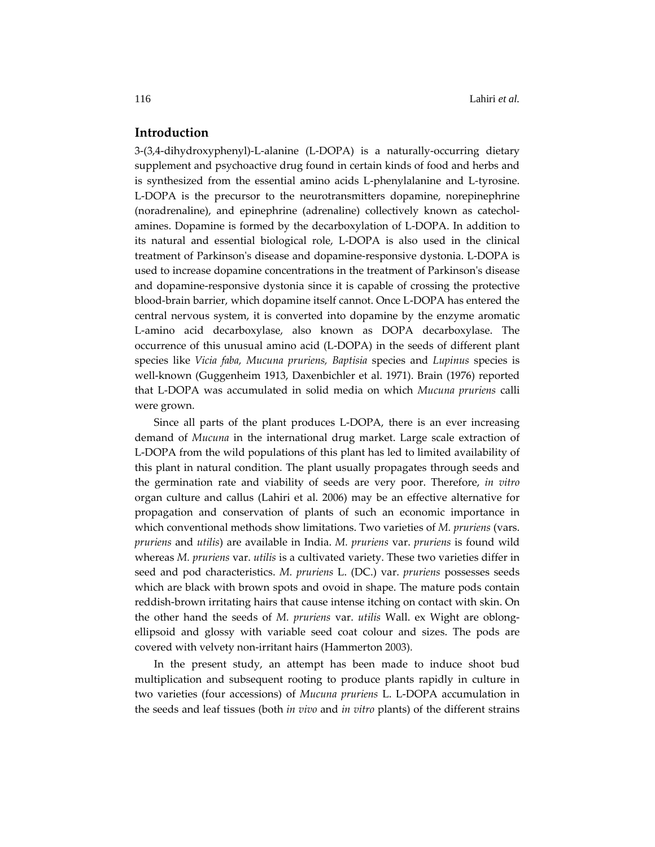#### **Introduction**

3‐(3,4‐dihydroxyphenyl)‐L‐alanine (L‐DOPA) is a naturally‐occurring dietary supplement and psychoactive drug found in certain kinds of food and herbs and is synthesized from the essential amino acids L‐phenylalanine and L‐tyrosine. L‐DOPA is the precursor to the neurotransmitters dopamine, norepinephrine (noradrenaline), and epinephrine (adrenaline) collectively known as catechol‐ amines. Dopamine is formed by the decarboxylation of L‐DOPA. In addition to its natural and essential biological role, L‐DOPA is also used in the clinical treatment of Parkinsonʹs disease and dopamine‐responsive dystonia. L‐DOPA is used to increase dopamine concentrations in the treatment of Parkinsonʹs disease and dopamine‐responsive dystonia since it is capable of crossing the protective blood‐brain barrier, which dopamine itself cannot. Once L‐DOPA has entered the central nervous system, it is converted into dopamine by the enzyme aromatic L‐amino acid decarboxylase, also known as DOPA decarboxylase. The occurrence of this unusual amino acid (L‐DOPA) in the seeds of different plant species like *Vicia faba, Mucuna pruriens, Baptisia* species and *Lupinus* species is well‐known (Guggenheim 1913, Daxenbichler et al. 1971). Brain (1976) reported that L‐DOPA was accumulated in solid media on which *Mucuna pruriens* calli were grown.

Since all parts of the plant produces L‐DOPA, there is an ever increasing demand of *Mucuna* in the international drug market. Large scale extraction of L‐DOPA from the wild populations of this plant has led to limited availability of this plant in natural condition. The plant usually propagates through seeds and the germination rate and viability of seeds are very poor. Therefore, *in vitro* organ culture and callus (Lahiri et al. 2006) may be an effective alternative for propagation and conservation of plants of such an economic importance in which conventional methods show limitations. Two varieties of *M. pruriens* (vars. *pruriens* and *utilis*) are available in India. *M. pruriens* var. *pruriens* is found wild whereas *M. pruriens* var. *utilis* is a cultivated variety. These two varieties differ in seed and pod characteristics. *M. pruriens* L. (DC.) var. *pruriens* possesses seeds which are black with brown spots and ovoid in shape. The mature pods contain reddish‐brown irritating hairs that cause intense itching on contact with skin. On the other hand the seeds of *M. pruriens* var. *utilis* Wall. ex Wight are oblong‐ ellipsoid and glossy with variable seed coat colour and sizes. The pods are covered with velvety non‐irritant hairs (Hammerton 2003).

In the present study, an attempt has been made to induce shoot bud multiplication and subsequent rooting to produce plants rapidly in culture in two varieties (four accessions) of *Mucuna pruriens* L. L‐DOPA accumulation in the seeds and leaf tissues (both *in vivo* and *in vitro* plants) of the different strains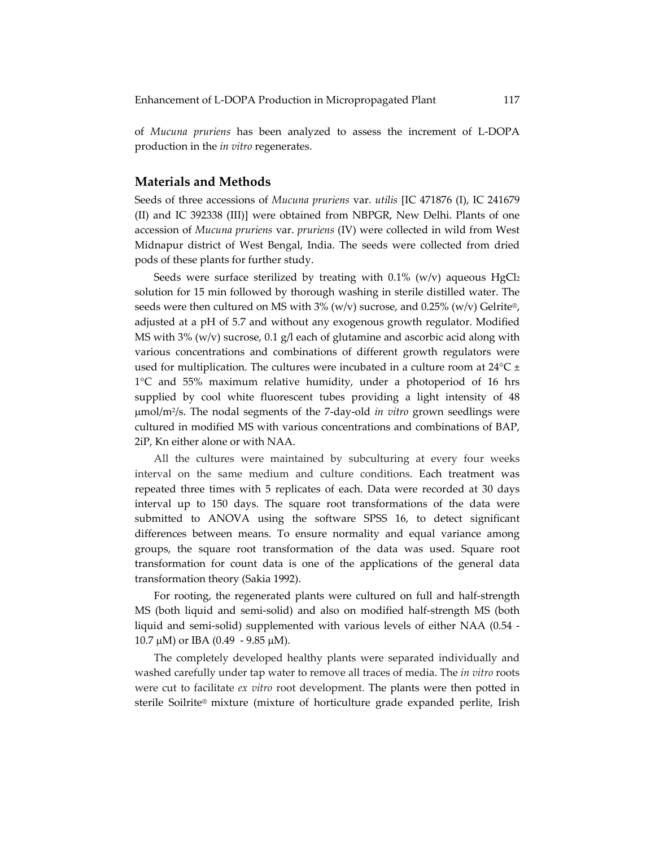of *Mucuna pruriens* has been analyzed to assess the increment of L‐DOPA production in the *in vitro* regenerates.

## **Materials and Methods**

Seeds of three accessions of *Mucuna pruriens* var. *utilis* [IC 471876 (I), IC 241679 (II) and IC 392338 (III)] were obtained from NBPGR, New Delhi. Plants of one accession of *Mucuna pruriens* var. *pruriens* (IV) were collected in wild from West Midnapur district of West Bengal, India. The seeds were collected from dried pods of these plants for further study.

Seeds were surface sterilized by treating with 0.1% (w/v) aqueous HgCl2 solution for 15 min followed by thorough washing in sterile distilled water. The seeds were then cultured on MS with  $3\%$  (w/v) sucrose, and 0.25% (w/v) Gelrite®, adjusted at a pH of 5.7 and without any exogenous growth regulator. Modified MS with  $3\%$  (w/v) sucrose, 0.1 g/l each of glutamine and ascorbic acid along with various concentrations and combinations of different growth regulators were used for multiplication. The cultures were incubated in a culture room at  $24^{\circ}$ C  $\pm$ 1°C and 55% maximum relative humidity, under a photoperiod of 16 hrs supplied by cool white fluorescent tubes providing a light intensity of 48 µmol/m2/s. The nodal segments of the 7‐day‐old *in vitro* grown seedlings were cultured in modified MS with various concentrations and combinations of BAP, 2iP, Kn either alone or with NAA.

All the cultures were maintained by subculturing at every four weeks interval on the same medium and culture conditions. Each treatment was repeated three times with 5 replicates of each. Data were recorded at 30 days interval up to 150 days. The square root transformations of the data were submitted to ANOVA using the software SPSS 16, to detect significant differences between means. To ensure normality and equal variance among groups, the square root transformation of the data was used. Square root transformation for count data is one of the applications of the general data transformation theory (Sakia 1992).

For rooting, the regenerated plants were cultured on full and half-strength MS (both liquid and semi‐solid) and also on modified half‐strength MS (both liquid and semi‐solid) supplemented with various levels of either NAA (0.54 ‐ 10.7  $\mu$ M) or IBA (0.49 - 9.85  $\mu$ M).

The completely developed healthy plants were separated individually and washed carefully under tap water to remove all traces of media. The *in vitro* roots were cut to facilitate *ex vitro* root development. The plants were then potted in sterile Soilrite® mixture (mixture of horticulture grade expanded perlite, Irish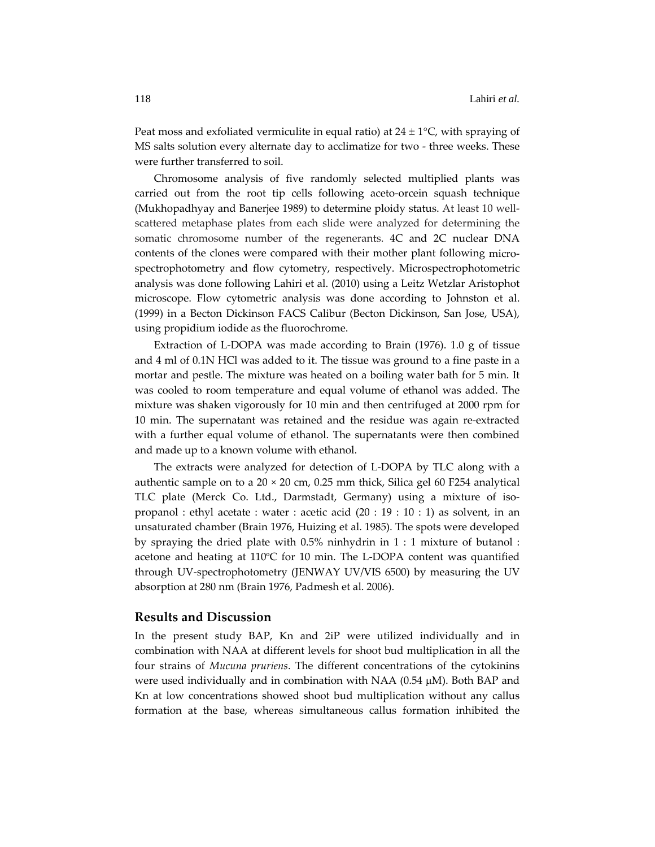Peat moss and exfoliated vermiculite in equal ratio) at  $24 \pm 1$ °C, with spraying of MS salts solution every alternate day to acclimatize for two ‐ three weeks. These were further transferred to soil.

Chromosome analysis of five randomly selected multiplied plants was carried out from the root tip cells following aceto‐orcein squash technique (Mukhopadhyay and Banerjee 1989) to determine ploidy status. At least 10 well‐ scattered metaphase plates from each slide were analyzed for determining the somatic chromosome number of the regenerants. 4C and 2C nuclear DNA contents of the clones were compared with their mother plant following microspectrophotometry and flow cytometry, respectively. Microspectrophotometric analysis was done following Lahiri et al. (2010) using a Leitz Wetzlar Aristophot microscope. Flow cytometric analysis was done according to Johnston et al. (1999) in a Becton Dickinson FACS Calibur (Becton Dickinson, San Jose, USA), using propidium iodide as the fluorochrome.

Extraction of L‐DOPA was made according to Brain (1976). 1.0 g of tissue and 4 ml of 0.1N HCl was added to it. The tissue was ground to a fine paste in a mortar and pestle. The mixture was heated on a boiling water bath for 5 min. It was cooled to room temperature and equal volume of ethanol was added. The mixture was shaken vigorously for 10 min and then centrifuged at 2000 rpm for 10 min. The supernatant was retained and the residue was again re‐extracted with a further equal volume of ethanol. The supernatants were then combined and made up to a known volume with ethanol.

The extracts were analyzed for detection of L‐DOPA by TLC along with a authentic sample on to a  $20 \times 20$  cm, 0.25 mm thick, Silica gel 60 F254 analytical TLC plate (Merck Co. Ltd., Darmstadt, Germany) using a mixture of isopropanol : ethyl acetate : water : acetic acid (20 : 19 : 10 : 1) as solvent, in an unsaturated chamber (Brain 1976, Huizing et al. 1985). The spots were developed by spraying the dried plate with 0.5% ninhydrin in 1 : 1 mixture of butanol : acetone and heating at 110ºC for 10 min. The L‐DOPA content was quantified through UV‐spectrophotometry (JENWAY UV/VIS 6500) by measuring the UV absorption at 280 nm (Brain 1976, Padmesh et al. 2006).

## **Results and Discussion**

In the present study BAP, Kn and 2iP were utilized individually and in combination with NAA at different levels for shoot bud multiplication in all the four strains of *Mucuna pruriens*. The different concentrations of the cytokinins were used individually and in combination with NAA  $(0.54 \mu M)$ . Both BAP and Kn at low concentrations showed shoot bud multiplication without any callus formation at the base, whereas simultaneous callus formation inhibited the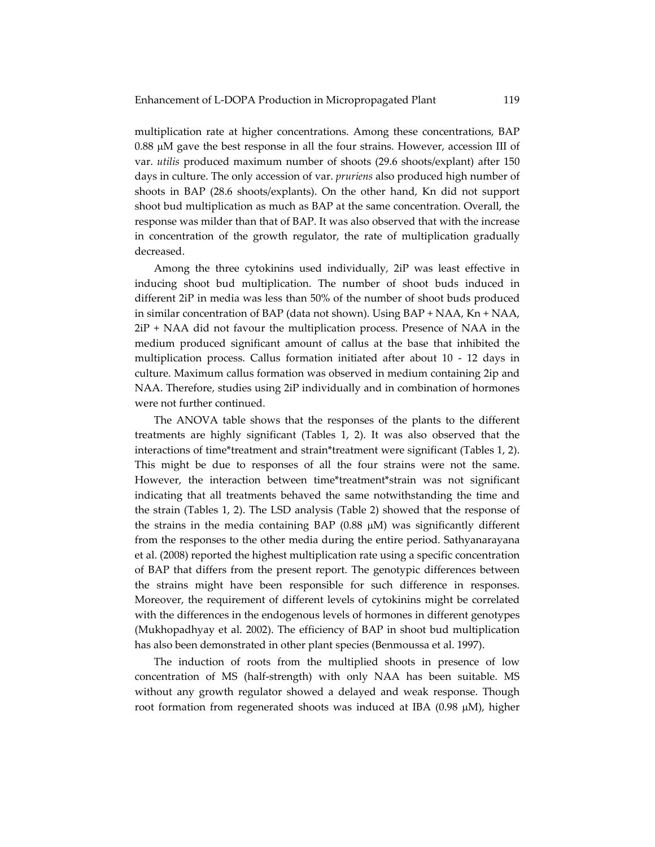multiplication rate at higher concentrations. Among these concentrations, BAP 0.88 µM gave the best response in all the four strains. However, accession III of var. *utilis* produced maximum number of shoots (29.6 shoots/explant) after 150 days in culture. The only accession of var. *pruriens* also produced high number of shoots in BAP (28.6 shoots/explants). On the other hand, Kn did not support shoot bud multiplication as much as BAP at the same concentration. Overall, the response was milder than that of BAP. It was also observed that with the increase in concentration of the growth regulator, the rate of multiplication gradually decreased.

Among the three cytokinins used individually, 2iP was least effective in inducing shoot bud multiplication. The number of shoot buds induced in different 2iP in media was less than 50% of the number of shoot buds produced in similar concentration of BAP (data not shown). Using BAP + NAA, Kn + NAA, 2iP + NAA did not favour the multiplication process. Presence of NAA in the medium produced significant amount of callus at the base that inhibited the multiplication process. Callus formation initiated after about 10 ‐ 12 days in culture. Maximum callus formation was observed in medium containing 2ip and NAA. Therefore, studies using 2iP individually and in combination of hormones were not further continued.

The ANOVA table shows that the responses of the plants to the different treatments are highly significant (Tables 1, 2). It was also observed that the interactions of time\*treatment and strain\*treatment were significant (Tables 1, 2). This might be due to responses of all the four strains were not the same. However, the interaction between time\*treatment\*strain was not significant indicating that all treatments behaved the same notwithstanding the time and the strain (Tables 1, 2). The LSD analysis (Table 2) showed that the response of the strains in the media containing BAP  $(0.88 \mu M)$  was significantly different from the responses to the other media during the entire period. Sathyanarayana et al. (2008) reported the highest multiplication rate using a specific concentration of BAP that differs from the present report. The genotypic differences between the strains might have been responsible for such difference in responses. Moreover, the requirement of different levels of cytokinins might be correlated with the differences in the endogenous levels of hormones in different genotypes (Mukhopadhyay et al. 2002). The efficiency of BAP in shoot bud multiplication has also been demonstrated in other plant species (Benmoussa et al. 1997).

The induction of roots from the multiplied shoots in presence of low concentration of MS (half‐strength) with only NAA has been suitable. MS without any growth regulator showed a delayed and weak response. Though root formation from regenerated shoots was induced at IBA (0.98 µM), higher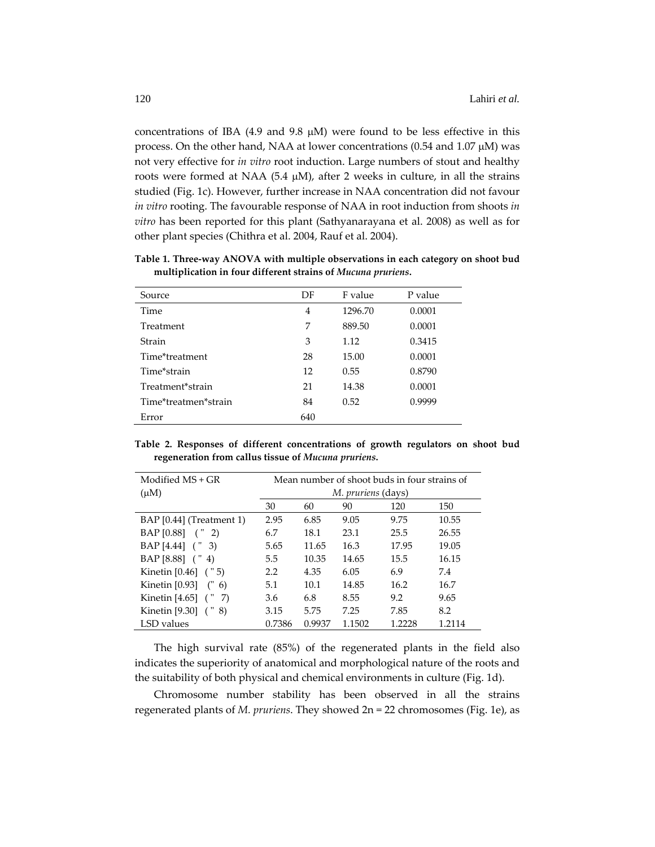concentrations of IBA (4.9 and 9.8  $\mu$ M) were found to be less effective in this process. On the other hand, NAA at lower concentrations  $(0.54$  and  $1.07 \mu M$ ) was not very effective for *in vitro* root induction. Large numbers of stout and healthy roots were formed at NAA (5.4  $\mu$ M), after 2 weeks in culture, in all the strains studied (Fig. 1c). However, further increase in NAA concentration did not favour *in vitro* rooting. The favourable response of NAA in root induction from shoots *in vitro* has been reported for this plant (Sathyanarayana et al. 2008) as well as for other plant species (Chithra et al. 2004, Rauf et al. 2004).

| Source               | DF  | F value | P value |
|----------------------|-----|---------|---------|
| Time                 | 4   | 1296.70 | 0.0001  |
| Treatment            | 7   | 889.50  | 0.0001  |
| Strain               | 3   | 1.12    | 0.3415  |
| Time*treatment       | 28  | 15.00   | 0.0001  |
| Time*strain          | 12  | 0.55    | 0.8790  |
| Treatment*strain     | 21  | 14.38   | 0.0001  |
| Time*treatmen*strain | 84  | 0.52    | 0.9999  |
| Error                | 640 |         |         |

**Table 1. Three‐way ANOVA with multiple observations in each category on shoot bud multiplication in four different strains of** *Mucuna pruriens***.**

**Table 2. Responses of different concentrations of growth regulators on shoot bud regeneration from callus tissue of** *Mucuna pruriens***.**

| Modified $MS + GR$             | Mean number of shoot buds in four strains of |        |        |        |        |
|--------------------------------|----------------------------------------------|--------|--------|--------|--------|
| $(\mu M)$                      | <i>M. pruriens</i> (days)                    |        |        |        |        |
|                                | 30                                           | 60     | 90     | 120    | 150    |
| BAP [0.44] (Treatment 1)       | 2.95                                         | 6.85   | 9.05   | 9.75   | 10.55  |
| BAP [0.88]<br>$\left($ "<br>2) | 6.7                                          | 18.1   | 23.1   | 25.5   | 26.55  |
| BAP [4.44]<br>3)<br>$\left($ " | 5.65                                         | 11.65  | 16.3   | 17.95  | 19.05  |
| BAP [8.88] ("4)                | 5.5                                          | 10.35  | 14.65  | 15.5   | 16.15  |
| Kinetin $[0.46]$ ("5)          | 2.2                                          | 4.35   | 6.05   | 6.9    | 7.4    |
| Kinetin [0.93]<br>6)           | 5.1                                          | 10.1   | 14.85  | 16.2   | 16.7   |
| Kinetin $[4.65]$ ("<br>7)      | 3.6                                          | 6.8    | 8.55   | 9.2    | 9.65   |
| Kinetin [9.30] (" 8)           | 3.15                                         | 5.75   | 7.25   | 7.85   | 8.2    |
| LSD values                     | 0.7386                                       | 0.9937 | 1.1502 | 1.2228 | 1.2114 |

The high survival rate (85%) of the regenerated plants in the field also indicates the superiority of anatomical and morphological nature of the roots and the suitability of both physical and chemical environments in culture (Fig. 1d).

Chromosome number stability has been observed in all the strains regenerated plants of *M. pruriens*. They showed 2n = 22 chromosomes (Fig. 1e), as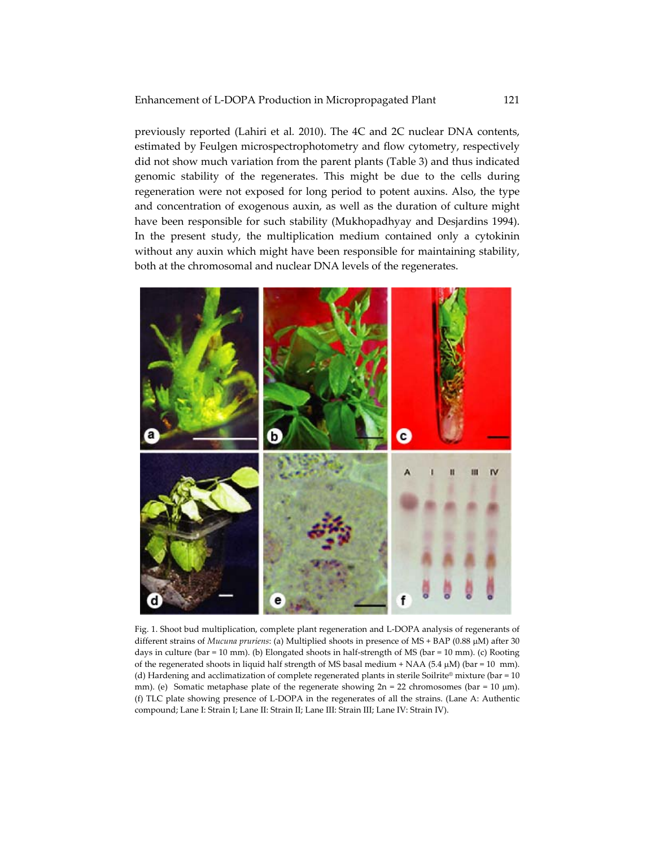previously reported (Lahiri et al*.* 2010). The 4C and 2C nuclear DNA contents, estimated by Feulgen microspectrophotometry and flow cytometry, respectively did not show much variation from the parent plants (Table 3) and thus indicated genomic stability of the regenerates. This might be due to the cells during regeneration were not exposed for long period to potent auxins. Also, the type and concentration of exogenous auxin, as well as the duration of culture might have been responsible for such stability (Mukhopadhyay and Desjardins 1994). In the present study, the multiplication medium contained only a cytokinin without any auxin which might have been responsible for maintaining stability, both at the chromosomal and nuclear DNA levels of the regenerates.



Fig. 1. Shoot bud multiplication, complete plant regeneration and L-DOPA analysis of regenerants of different strains of *Mucuna pruriens*: (a) Multiplied shoots in presence of MS + BAP (0.88 µM) after 30 days in culture (bar = 10 mm). (b) Elongated shoots in half-strength of MS (bar = 10 mm). (c) Rooting of the regenerated shoots in liquid half strength of MS basal medium + NAA (5.4  $\mu$ M) (bar = 10 mm). (d) Hardening and acclimatization of complete regenerated plants in sterile Soilrite® mixture (bar = 10 mm). (e) Somatic metaphase plate of the regenerate showing  $2n = 22$  chromosomes (bar = 10  $\mu$ m). (f) TLC plate showing presence of L‐DOPA in the regenerates of all the strains. (Lane A: Authentic compound; Lane I: Strain I; Lane II: Strain II; Lane III: Strain III; Lane IV: Strain IV).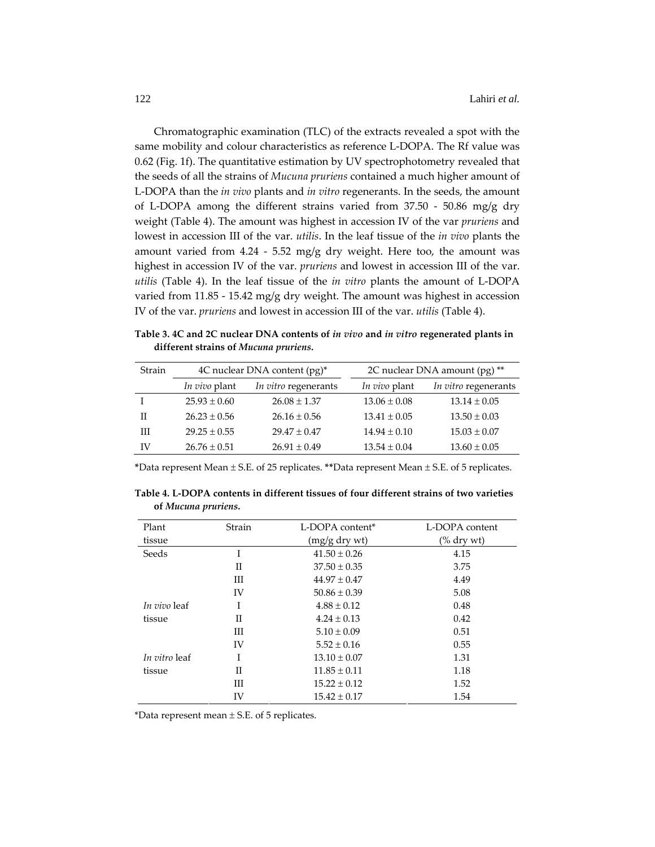Chromatographic examination (TLC) of the extracts revealed a spot with the same mobility and colour characteristics as reference L-DOPA. The Rf value was 0.62 (Fig. 1f). The quantitative estimation by UV spectrophotometry revealed that the seeds of all the strains of *Mucuna pruriens* contained a much higher amount of L‐DOPA than the *in vivo* plants and *in vitro* regenerants. In the seeds, the amount of L‐DOPA among the different strains varied from 37.50 ‐ 50.86 mg/g dry weight (Table 4). The amount was highest in accession IV of the var *pruriens* and lowest in accession III of the var. *utilis*. In the leaf tissue of the *in vivo* plants the amount varied from 4.24 - 5.52 mg/g dry weight. Here too, the amount was highest in accession IV of the var. *pruriens* and lowest in accession III of the var. *utilis* (Table 4). In the leaf tissue of the *in vitro* plants the amount of L‐DOPA varied from 11.85 - 15.42 mg/g dry weight. The amount was highest in accession IV of the var. *pruriens* and lowest in accession III of the var. *utilis* (Table 4).

**Table 3. 4C and 2C nuclear DNA contents of** *in vivo* **and** *in vitro* **regenerated plants in different strains of** *Mucuna pruriens***.**

| Strain | 4C nuclear DNA content (pg)* |                      | 2C nuclear DNA amount (pg) ** |                      |  |
|--------|------------------------------|----------------------|-------------------------------|----------------------|--|
|        | <i>In vivo</i> plant         | In vitro regenerants | In vivo plant                 | In vitro regenerants |  |
|        | $25.93 \pm 0.60$             | $26.08 \pm 1.37$     | $13.06 \pm 0.08$              | $13.14 \pm 0.05$     |  |
|        | $26.23 \pm 0.56$             | $26.16 \pm 0.56$     | $13.41 \pm 0.05$              | $13.50 \pm 0.03$     |  |
| Ш      | $29.25 \pm 0.55$             | $29.47 \pm 0.47$     | $14.94 \pm 0.10$              | $15.03 \pm 0.07$     |  |
| IV     | $26.76 \pm 0.51$             | $26.91 \pm 0.49$     | $13.54 \pm 0.04$              | $13.60 \pm 0.05$     |  |

**\***Data represent Mean ± S.E. of 25 replicates. **\*\***Data represent Mean ± S.E. of 5 replicates.

**Table 4. L‐DOPA contents in different tissues of four different strains of two varieties of** *Mucuna pruriens***.**

| Plant         | Strain | L-DOPA content*  | L-DOPA content |
|---------------|--------|------------------|----------------|
| tissue        |        | (mg/g dry wt)    | (% dry wt)     |
| Seeds         |        | $41.50 \pm 0.26$ | 4.15           |
|               | П      | $37.50 \pm 0.35$ | 3.75           |
|               | Ш      | $44.97 \pm 0.47$ | 4.49           |
|               | IV     | $50.86 \pm 0.39$ | 5.08           |
| In vivo leaf  | I      | $4.88 \pm 0.12$  | 0.48           |
| tissue        | Н      | $4.24 \pm 0.13$  | 0.42           |
|               | Ш      | $5.10 \pm 0.09$  | 0.51           |
|               | IV     | $5.52 \pm 0.16$  | 0.55           |
| In vitro leaf | Ī      | $13.10 \pm 0.07$ | 1.31           |
| tissue        | Н      | $11.85 \pm 0.11$ | 1.18           |
|               | Ш      | $15.22 \pm 0.12$ | 1.52           |
|               | IV     | $15.42 \pm 0.17$ | 1.54           |

\*Data represent mean  $\pm$  S.E. of 5 replicates.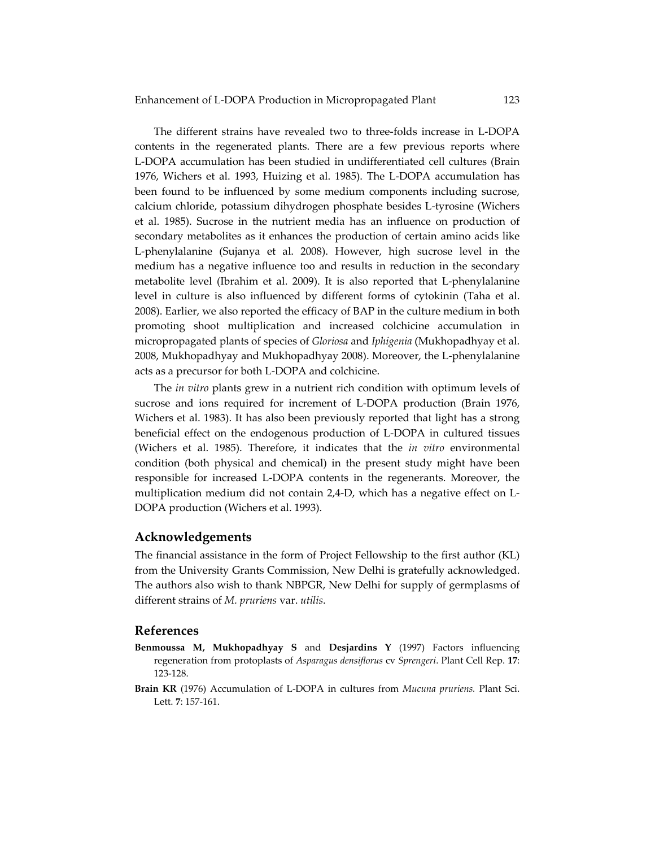The different strains have revealed two to three-folds increase in L-DOPA contents in the regenerated plants. There are a few previous reports where L‐DOPA accumulation has been studied in undifferentiated cell cultures (Brain 1976, Wichers et al. 1993, Huizing et al. 1985). The L‐DOPA accumulation has been found to be influenced by some medium components including sucrose, calcium chloride, potassium dihydrogen phosphate besides L‐tyrosine (Wichers et al. 1985). Sucrose in the nutrient media has an influence on production of secondary metabolites as it enhances the production of certain amino acids like L‐phenylalanine (Sujanya et al. 2008). However, high sucrose level in the medium has a negative influence too and results in reduction in the secondary metabolite level (Ibrahim et al. 2009). It is also reported that L‐phenylalanine level in culture is also influenced by different forms of cytokinin (Taha et al. 2008). Earlier, we also reported the efficacy of BAP in the culture medium in both promoting shoot multiplication and increased colchicine accumulation in micropropagated plants of species of *Gloriosa* and *Iphigenia* (Mukhopadhyay et al. 2008, Mukhopadhyay and Mukhopadhyay 2008). Moreover, the L‐phenylalanine acts as a precursor for both L‐DOPA and colchicine.

The *in vitro* plants grew in a nutrient rich condition with optimum levels of sucrose and ions required for increment of L-DOPA production (Brain 1976, Wichers et al. 1983). It has also been previously reported that light has a strong beneficial effect on the endogenous production of L‐DOPA in cultured tissues (Wichers et al. 1985). Therefore, it indicates that the *in vitro* environmental condition (both physical and chemical) in the present study might have been responsible for increased L‐DOPA contents in the regenerants. Moreover, the multiplication medium did not contain 2,4‐D, which has a negative effect on L‐ DOPA production (Wichers et al. 1993).

## **Acknowledgements**

The financial assistance in the form of Project Fellowship to the first author (KL) from the University Grants Commission, New Delhi is gratefully acknowledged. The authors also wish to thank NBPGR, New Delhi for supply of germplasms of different strains of *M. pruriens* var. *utilis*.

## **References**

- **Benmoussa M, Mukhopadhyay S** and **Desjardins Y** (1997) Factors influencing regeneration from protoplasts of *Asparagus densiflorus* cv *Sprengeri*. Plant Cell Rep. **17**: 123‐128.
- **Brain KR** (1976) Accumulation of L‐DOPA in cultures from *Mucuna pruriens.* Plant Sci. Lett. **7**: 157‐161.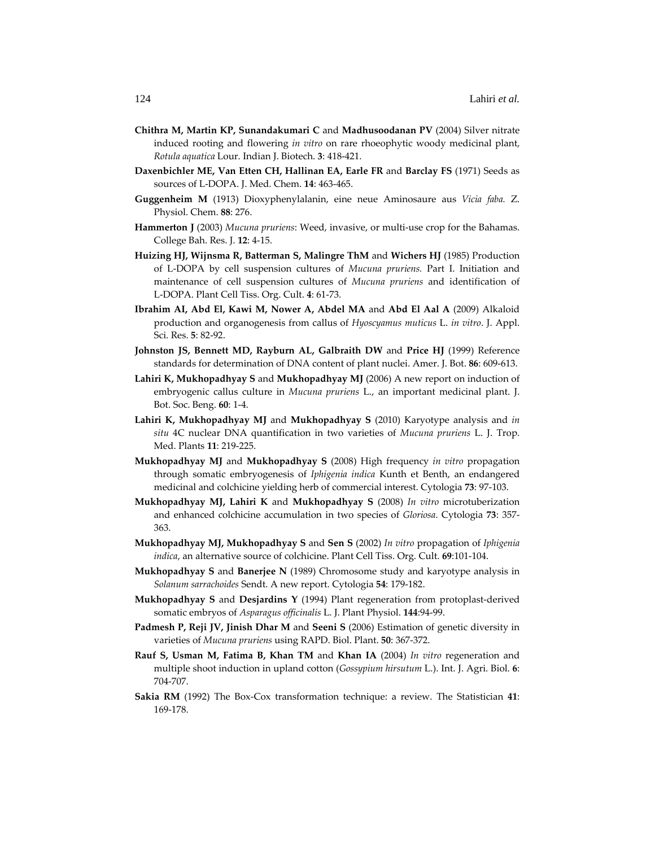- **Chithra M, Martin KP, Sunandakumari C** and **Madhusoodanan PV** (2004) Silver nitrate induced rooting and flowering *in vitro* on rare rhoeophytic woody medicinal plant, *Rotula aquatica* Lour. Indian J. Biotech. **3**: 418‐421.
- **Daxenbichler ME, Van Etten CH, Hallinan EA, Earle FR** and **Barclay FS** (1971) Seeds as sources of L‐DOPA. J. Med. Chem. **14**: 463‐465.
- **Guggenheim M** (1913) Dioxyphenylalanin, eine neue Aminosaure aus *Vicia faba.* Z. Physiol. Chem. **88**: 276.
- **Hammerton J** (2003) *Mucuna pruriens*: Weed, invasive, or multi‐use crop for the Bahamas. College Bah. Res. J. **12**: 4‐15.
- **Huizing HJ, Wijnsma R, Batterman S, Malingre ThM** and **Wichers HJ** (1985) Production of L‐DOPA by cell suspension cultures of *Mucuna pruriens.* Part I. Initiation and maintenance of cell suspension cultures of *Mucuna pruriens* and identification of L‐DOPA. Plant Cell Tiss. Org. Cult. **4**: 61‐73.
- **Ibrahim AI, Abd El, Kawi M, Nower A, Abdel MA** and **Abd El Aal A** (2009) Alkaloid production and organogenesis from callus of *Hyoscyamus muticus* L. *in vitro*. J. Appl. Sci. Res. **5**: 82‐92.
- **Johnston JS, Bennett MD, Rayburn AL, Galbraith DW** and **Price HJ** (1999) Reference standards for determination of DNA content of plant nuclei. Amer. J. Bot. **86**: 609‐613.
- **Lahiri K, Mukhopadhyay S** and **Mukhopadhyay MJ** (2006) A new report on induction of embryogenic callus culture in *Mucuna pruriens* L., an important medicinal plant. J. Bot. Soc. Beng. **60**: 1‐4.
- **Lahiri K, Mukhopadhyay MJ** and **Mukhopadhyay S** (2010) Karyotype analysis and *in situ* 4C nuclear DNA quantification in two varieties of *Mucuna pruriens* L. J. Trop. Med. Plants **11**: 219‐225.
- **Mukhopadhyay MJ** and **Mukhopadhyay S** (2008) High frequency *in vitro* propagation through somatic embryogenesis of *Iphigenia indica* Kunth et Benth, an endangered medicinal and colchicine yielding herb of commercial interest. Cytologia **73**: 97‐103.
- **Mukhopadhyay MJ, Lahiri K** and **Mukhopadhyay S** (2008) *In vitro* microtuberization and enhanced colchicine accumulation in two species of *Gloriosa*. Cytologia **73**: 357‐ 363.
- **Mukhopadhyay MJ, Mukhopadhyay S** and **Sen S** (2002) *In vitro* propagation of *Iphigenia indica*, an alternative source of colchicine. Plant Cell Tiss. Org. Cult. **69**:101‐104.
- **Mukhopadhyay S** and **Banerjee N** (1989) Chromosome study and karyotype analysis in *Solanum sarrachoides* Sendt. A new report. Cytologia **54**: 179‐182.
- **Mukhopadhyay S** and **Desjardins Y** (1994) Plant regeneration from protoplast‐derived somatic embryos of *Asparagus officinalis* L. J. Plant Physiol. **144**:94‐99.
- **Padmesh P, Reji JV, Jinish Dhar M** and **Seeni S** (2006) Estimation of genetic diversity in varieties of *Mucuna pruriens* using RAPD. Biol. Plant. **50**: 367‐372.
- **Rauf S, Usman M, Fatima B, Khan TM** and **Khan IA** (2004) *In vitro* regeneration and multiple shoot induction in upland cotton (*Gossypium hirsutum* L.). Int. J. Agri. Biol. **6**: 704‐707.
- **Sakia RM** (1992) The Box‐Cox transformation technique: a review. The Statistician **41**: 169‐178.